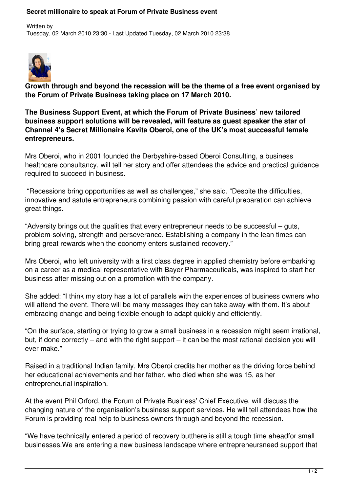## **Secret millionaire to speak at Forum of Private Business event**



**Growth through and beyond the recession will be the theme of a free event organised by the Forum of Private Business taking place on 17 March 2010.**

**The Business Support Event, at which the Forum of Private Business' new tailored business support solutions will be revealed, will feature as guest speaker the star of Channel 4's Secret Millionaire Kavita Oberoi, one of the UK's most successful female entrepreneurs.**

Mrs Oberoi, who in 2001 founded the Derbyshire-based Oberoi Consulting, a business healthcare consultancy, will tell her story and offer attendees the advice and practical guidance required to succeed in business.

 "Recessions bring opportunities as well as challenges," she said. "Despite the difficulties, innovative and astute entrepreneurs combining passion with careful preparation can achieve great things.

"Adversity brings out the qualities that every entrepreneur needs to be successful – guts, problem-solving, strength and perseverance. Establishing a company in the lean times can bring great rewards when the economy enters sustained recovery."

Mrs Oberoi, who left university with a first class degree in applied chemistry before embarking on a career as a medical representative with Bayer Pharmaceuticals, was inspired to start her business after missing out on a promotion with the company.

She added: "I think my story has a lot of parallels with the experiences of business owners who will attend the event. There will be many messages they can take away with them. It's about embracing change and being flexible enough to adapt quickly and efficiently.

"On the surface, starting or trying to grow a small business in a recession might seem irrational, but, if done correctly – and with the right support – it can be the most rational decision you will ever make."

Raised in a traditional Indian family, Mrs Oberoi credits her mother as the driving force behind her educational achievements and her father, who died when she was 15, as her entrepreneurial inspiration.

At the event Phil Orford, the Forum of Private Business' Chief Executive, will discuss the changing nature of the organisation's business support services. He will tell attendees how the Forum is providing real help to business owners through and beyond the recession.

"We have technically entered a period of recovery butthere is still a tough time aheadfor small businesses.We are entering a new business landscape where entrepreneursneed support that